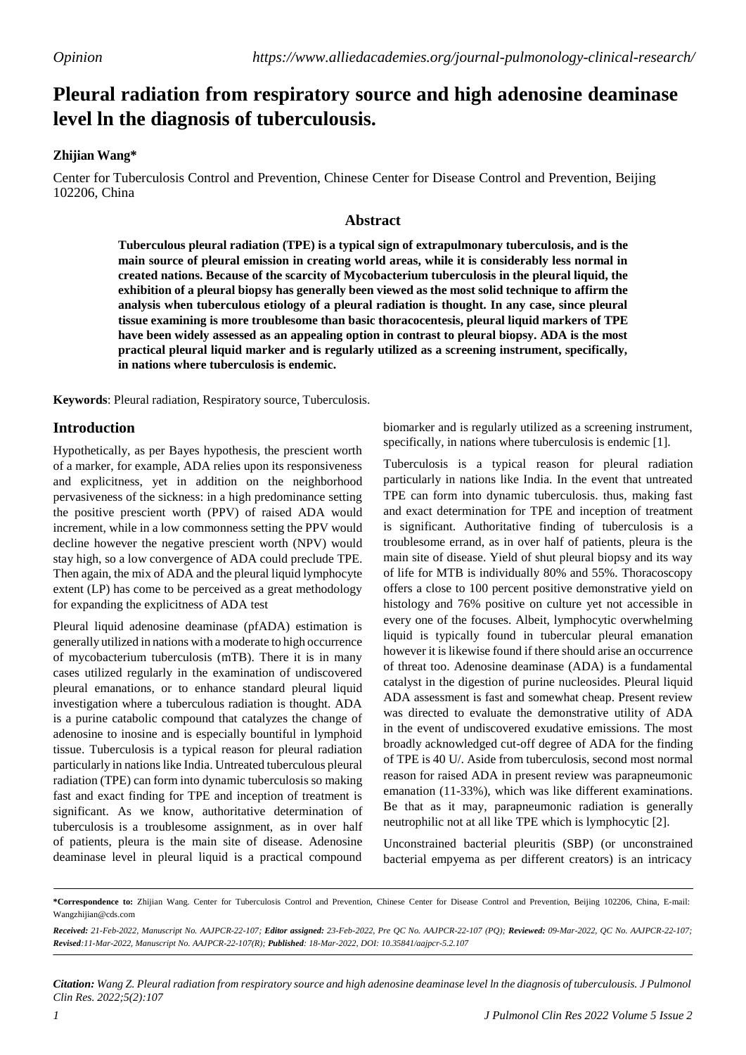# **Pleural radiation from respiratory source and high adenosine deaminase level ln the diagnosis of tuberculousis.**

# **Zhijian Wang\***

Center for Tuberculosis Control and Prevention, Chinese Center for Disease Control and Prevention, Beijing 102206, China

### **Abstract**

**Tuberculous pleural radiation (TPE) is a typical sign of extrapulmonary tuberculosis, and is the main source of pleural emission in creating world areas, while it is considerably less normal in created nations. Because of the scarcity of Mycobacterium tuberculosis in the pleural liquid, the exhibition of a pleural biopsy has generally been viewed as the most solid technique to affirm the analysis when tuberculous etiology of a pleural radiation is thought. In any case, since pleural tissue examining is more troublesome than basic thoracocentesis, pleural liquid markers of TPE have been widely assessed as an appealing option in contrast to pleural biopsy. ADA is the most practical pleural liquid marker and is regularly utilized as a screening instrument, specifically, in nations where tuberculosis is endemic.**

**Keywords**: Pleural radiation, Respiratory source, Tuberculosis.

# **Introduction**

Hypothetically, as per Bayes hypothesis, the prescient worth of a marker, for example, ADA relies upon its responsiveness and explicitness, yet in addition on the neighborhood pervasiveness of the sickness: in a high predominance setting the positive prescient worth (PPV) of raised ADA would increment, while in a low commonness setting the PPV would decline however the negative prescient worth (NPV) would stay high, so a low convergence of ADA could preclude TPE. Then again, the mix of ADA and the pleural liquid lymphocyte extent (LP) has come to be perceived as a great methodology for expanding the explicitness of ADA test

Pleural liquid adenosine deaminase (pfADA) estimation is generally utilized in nations with a moderate to high occurrence of mycobacterium tuberculosis (mTB). There it is in many cases utilized regularly in the examination of undiscovered pleural emanations, or to enhance standard pleural liquid investigation where a tuberculous radiation is thought. ADA is a purine catabolic compound that catalyzes the change of adenosine to inosine and is especially bountiful in lymphoid tissue. Tuberculosis is a typical reason for pleural radiation particularly in nationslike India. Untreated tuberculous pleural radiation (TPE) can form into dynamic tuberculosis so making fast and exact finding for TPE and inception of treatment is significant. As we know, authoritative determination of tuberculosis is a troublesome assignment, as in over half of patients, pleura is the main site of disease. Adenosine deaminase level in pleural liquid is a practical compound

biomarker and is regularly utilized as a screening instrument, specifically, in nations where tuberculosis is endemic [1].

Tuberculosis is a typical reason for pleural radiation particularly in nations like India. In the event that untreated TPE can form into dynamic tuberculosis. thus, making fast and exact determination for TPE and inception of treatment is significant. Authoritative finding of tuberculosis is a troublesome errand, as in over half of patients, pleura is the main site of disease. Yield of shut pleural biopsy and its way of life for MTB is individually 80% and 55%. Thoracoscopy offers a close to 100 percent positive demonstrative yield on histology and 76% positive on culture yet not accessible in every one of the focuses. Albeit, lymphocytic overwhelming liquid is typically found in tubercular pleural emanation however it is likewise found if there should arise an occurrence of threat too. Adenosine deaminase (ADA) is a fundamental catalyst in the digestion of purine nucleosides. Pleural liquid ADA assessment is fast and somewhat cheap. Present review was directed to evaluate the demonstrative utility of ADA in the event of undiscovered exudative emissions. The most broadly acknowledged cut-off degree of ADA for the finding of TPE is 40 U/. Aside from tuberculosis, second most normal reason for raised ADA in present review was parapneumonic emanation (11-33%), which was like different examinations. Be that as it may, parapneumonic radiation is generally neutrophilic not at all like TPE which is lymphocytic [2].

Unconstrained bacterial pleuritis (SBP) (or unconstrained bacterial empyema as per different creators) is an intricacy

Citation: Wang Z. Pleural radiation from respiratory source and high adenosine deaminase level In the diagnosis of tuberculousis. J Pulmonol *Clin Res. 2022;5(2):107*

**<sup>\*</sup>Correspondence to:** Zhijian Wang. Center for Tuberculosis Control and Prevention, Chinese Center for Disease Control and Prevention, Beijing 102206, China, E-mail: [Wangzhijian@cds.com](mailto:Wangzhijian@cds.com)

Received: 21-Feb-2022, Manuscript No. AAJPCR-22-107; Editor assigned: 23-Feb-2022, Pre QC No. AAJPCR-22-107 (PQ); Reviewed: 09-Mar-2022, QC No. AAJPCR-22-107; *Revised:11-Mar-2022, Manuscript No. AAJPCR-22-107(R); Published: 18-Mar-2022, DOI: 10.35841/aajpcr-5.2.107*